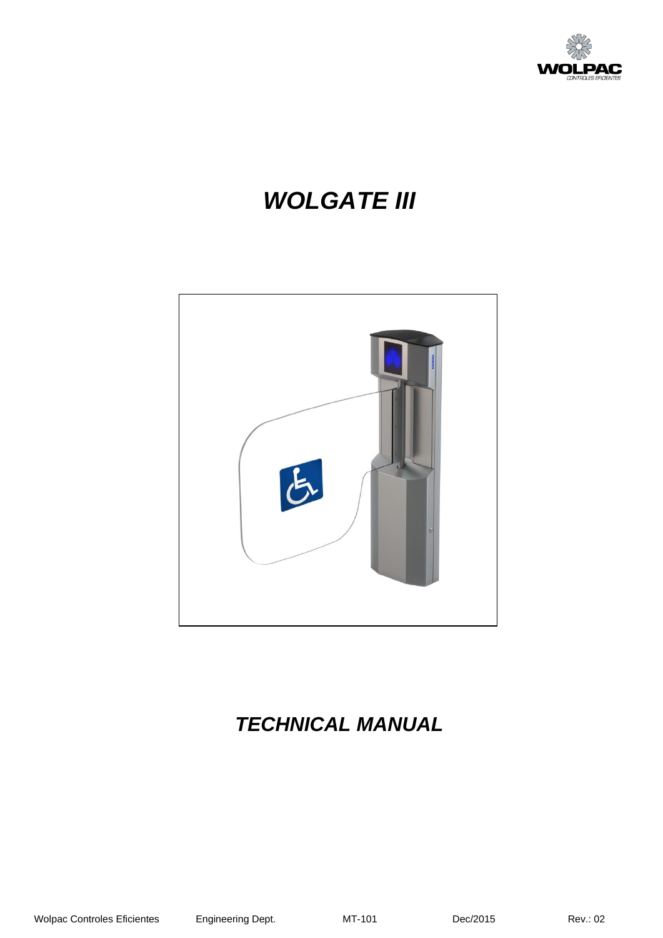

# *WOLGATE III*



# *TECHNICAL MANUAL*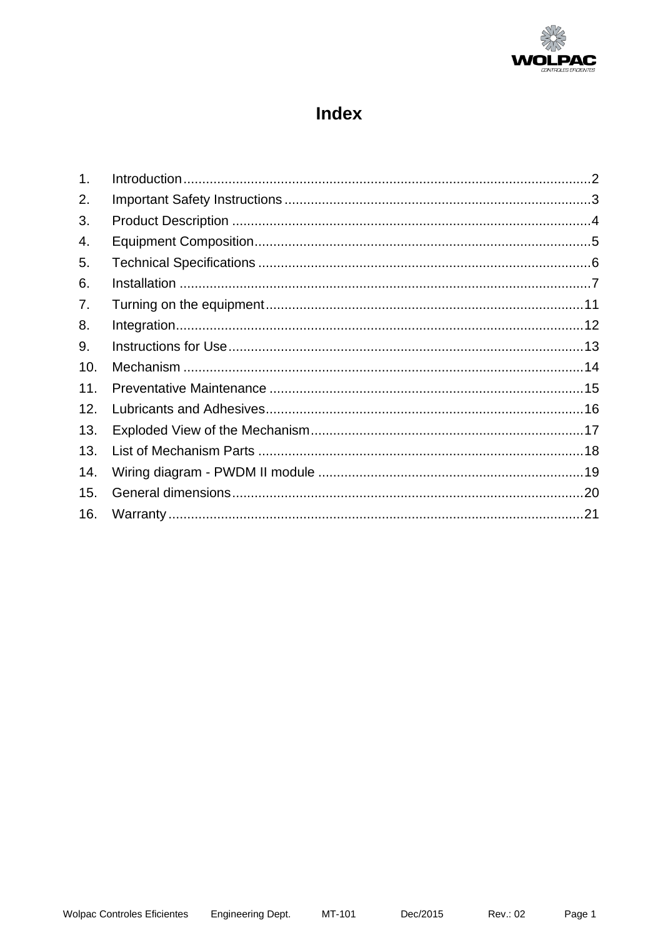

# **Index**

| 1 <sub>1</sub> |  |
|----------------|--|
| 2.             |  |
| 3.             |  |
| 4.             |  |
| 5.             |  |
| 6.             |  |
| 7.             |  |
| 8.             |  |
| 9.             |  |
| 10.            |  |
| 11.            |  |
| 12.            |  |
| 13.            |  |
| 13.            |  |
| 14.            |  |
| 15.            |  |
| 16.            |  |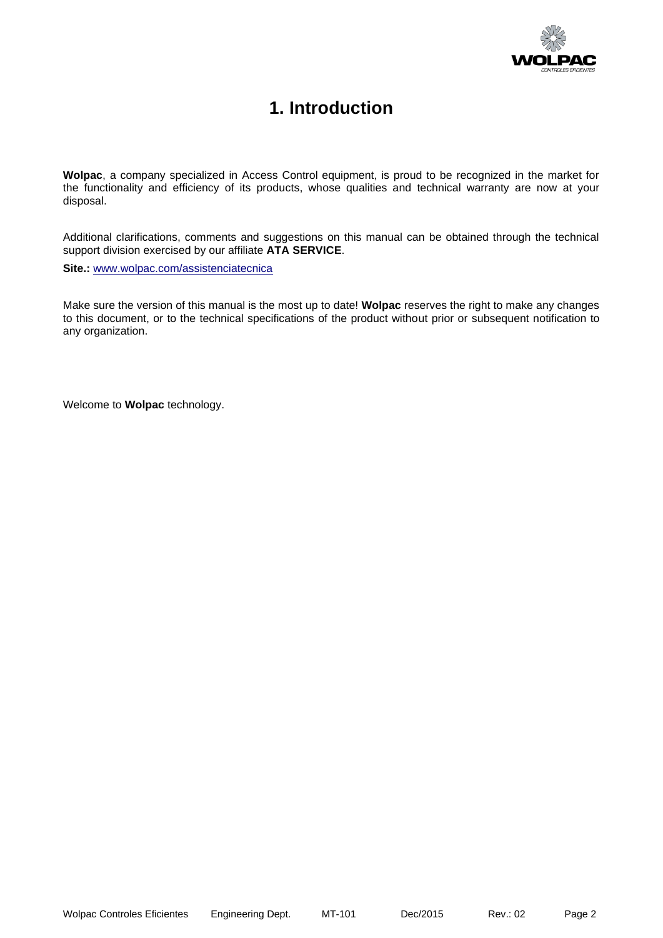

### **1. Introduction**

<span id="page-2-0"></span>**Wolpac**, a company specialized in Access Control equipment, is proud to be recognized in the market for the functionality and efficiency of its products, whose qualities and technical warranty are now at your disposal.

Additional clarifications, comments and suggestions on this manual can be obtained through the technical support division exercised by our affiliate **ATA SERVICE**.

**Site.:** [www.wolpac.com/assistenciatecnica](http://www.wolpac.com/assistenciatecnica)

Make sure the version of this manual is the most up to date! **Wolpac** reserves the right to make any changes to this document, or to the technical specifications of the product without prior or subsequent notification to any organization.

Welcome to **Wolpac** technology.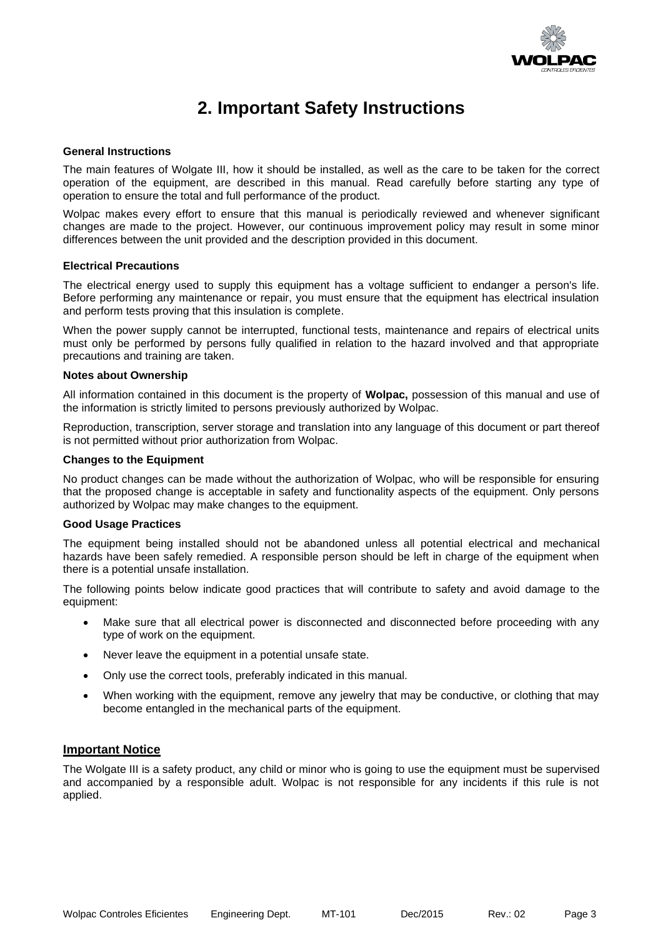

### **2. Important Safety Instructions**

#### <span id="page-3-0"></span>**General Instructions**

The main features of Wolgate III, how it should be installed, as well as the care to be taken for the correct operation of the equipment, are described in this manual. Read carefully before starting any type of operation to ensure the total and full performance of the product.

Wolpac makes every effort to ensure that this manual is periodically reviewed and whenever significant changes are made to the project. However, our continuous improvement policy may result in some minor differences between the unit provided and the description provided in this document.

#### **Electrical Precautions**

The electrical energy used to supply this equipment has a voltage sufficient to endanger a person's life. Before performing any maintenance or repair, you must ensure that the equipment has electrical insulation and perform tests proving that this insulation is complete.

When the power supply cannot be interrupted, functional tests, maintenance and repairs of electrical units must only be performed by persons fully qualified in relation to the hazard involved and that appropriate precautions and training are taken.

#### **Notes about Ownership**

All information contained in this document is the property of **Wolpac,** possession of this manual and use of the information is strictly limited to persons previously authorized by Wolpac.

Reproduction, transcription, server storage and translation into any language of this document or part thereof is not permitted without prior authorization from Wolpac.

#### **Changes to the Equipment**

No product changes can be made without the authorization of Wolpac, who will be responsible for ensuring that the proposed change is acceptable in safety and functionality aspects of the equipment. Only persons authorized by Wolpac may make changes to the equipment.

#### **Good Usage Practices**

The equipment being installed should not be abandoned unless all potential electrical and mechanical hazards have been safely remedied. A responsible person should be left in charge of the equipment when there is a potential unsafe installation.

The following points below indicate good practices that will contribute to safety and avoid damage to the equipment:

- Make sure that all electrical power is disconnected and disconnected before proceeding with any type of work on the equipment.
- Never leave the equipment in a potential unsafe state.
- Only use the correct tools, preferably indicated in this manual.
- When working with the equipment, remove any jewelry that may be conductive, or clothing that may become entangled in the mechanical parts of the equipment.

#### **Important Notice**

The Wolgate III is a safety product, any child or minor who is going to use the equipment must be supervised and accompanied by a responsible adult. Wolpac is not responsible for any incidents if this rule is not applied.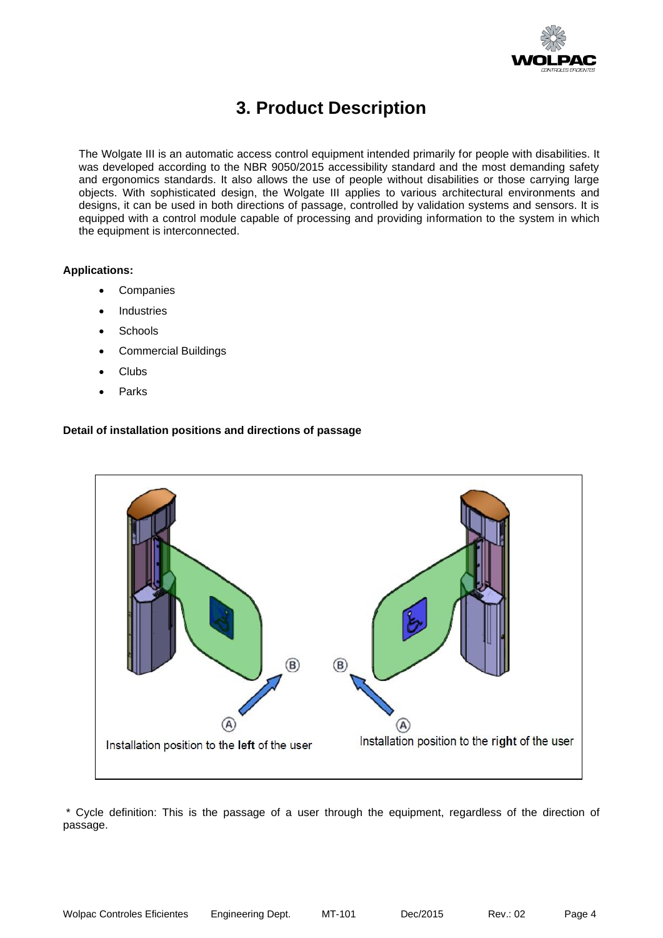

### **3. Product Description**

<span id="page-4-0"></span>The Wolgate III is an automatic access control equipment intended primarily for people with disabilities. It was developed according to the NBR 9050/2015 accessibility standard and the most demanding safety and ergonomics standards. It also allows the use of people without disabilities or those carrying large objects. With sophisticated design, the Wolgate III applies to various architectural environments and designs, it can be used in both directions of passage, controlled by validation systems and sensors. It is equipped with a control module capable of processing and providing information to the system in which the equipment is interconnected.

#### **Applications:**

- **Companies**
- **Industries**
- **Schools**
- Commercial Buildings
- Clubs
- **Parks**

#### **Detail of installation positions and directions of passage**



\* Cycle definition: This is the passage of a user through the equipment, regardless of the direction of passage.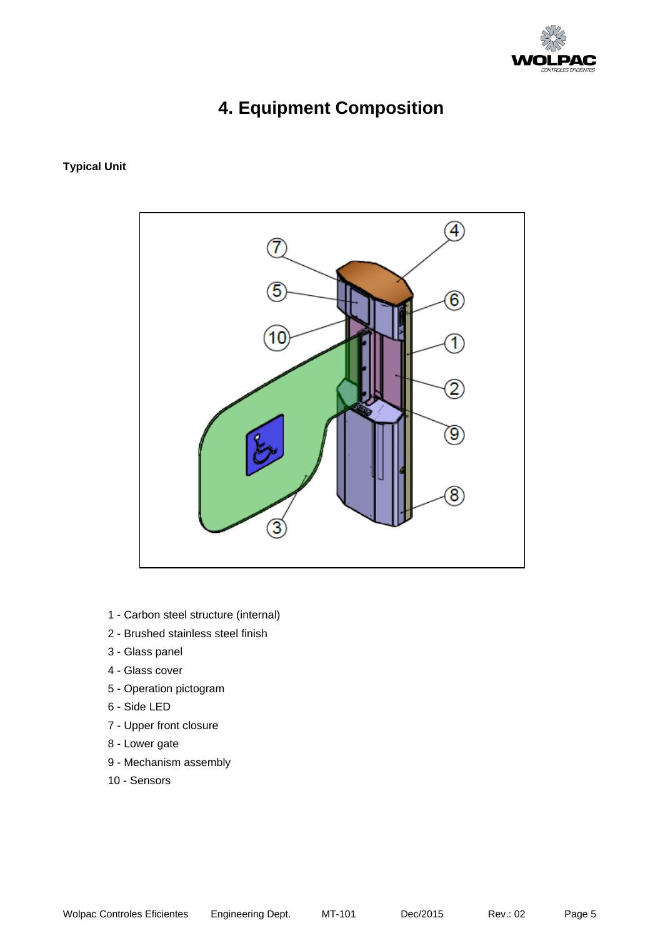

# **4. Equipment Composition**

#### <span id="page-5-0"></span>**Typical Unit**



- 1 Carbon steel structure (internal)
- 2 Brushed stainless steel finish
- 3 Glass panel
- 4 Glass cover
- 5 Operation pictogram
- 6 Side LED
- 7 Upper front closure
- 8 Lower gate
- 9 Mechanism assembly
- 10 Sensors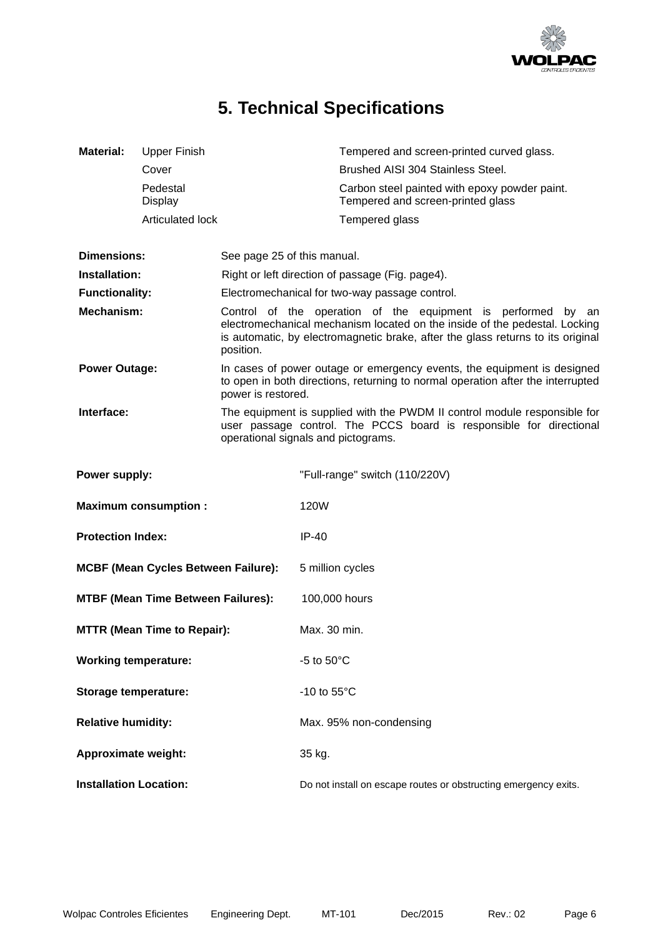

# **5. Technical Specifications**

<span id="page-6-0"></span>

| <b>Material:</b>                   | <b>Upper Finish</b>                        |                             | Tempered and screen-printed curved glass.                                                                                                                                                                                     |  |  |
|------------------------------------|--------------------------------------------|-----------------------------|-------------------------------------------------------------------------------------------------------------------------------------------------------------------------------------------------------------------------------|--|--|
|                                    | Cover                                      |                             | Brushed AISI 304 Stainless Steel.                                                                                                                                                                                             |  |  |
|                                    | Pedestal<br>Display                        |                             | Carbon steel painted with epoxy powder paint.<br>Tempered and screen-printed glass                                                                                                                                            |  |  |
|                                    | <b>Articulated lock</b>                    |                             | Tempered glass                                                                                                                                                                                                                |  |  |
|                                    |                                            |                             |                                                                                                                                                                                                                               |  |  |
| <b>Dimensions:</b>                 |                                            | See page 25 of this manual. |                                                                                                                                                                                                                               |  |  |
| Installation:                      |                                            |                             | Right or left direction of passage (Fig. page4).                                                                                                                                                                              |  |  |
| <b>Functionality:</b>              |                                            |                             | Electromechanical for two-way passage control.                                                                                                                                                                                |  |  |
| Mechanism:                         |                                            | position.                   | Control of the operation of the equipment is performed by an<br>electromechanical mechanism located on the inside of the pedestal. Locking<br>is automatic, by electromagnetic brake, after the glass returns to its original |  |  |
| <b>Power Outage:</b>               |                                            | power is restored.          | In cases of power outage or emergency events, the equipment is designed<br>to open in both directions, returning to normal operation after the interrupted                                                                    |  |  |
| Interface:                         |                                            |                             | The equipment is supplied with the PWDM II control module responsible for<br>user passage control. The PCCS board is responsible for directional<br>operational signals and pictograms.                                       |  |  |
| Power supply:                      |                                            |                             | "Full-range" switch (110/220V)                                                                                                                                                                                                |  |  |
|                                    | <b>Maximum consumption:</b>                |                             | 120W                                                                                                                                                                                                                          |  |  |
| <b>Protection Index:</b>           |                                            |                             | $IP-40$                                                                                                                                                                                                                       |  |  |
|                                    | <b>MCBF (Mean Cycles Between Failure):</b> |                             | 5 million cycles                                                                                                                                                                                                              |  |  |
|                                    | <b>MTBF (Mean Time Between Failures):</b>  |                             | 100,000 hours                                                                                                                                                                                                                 |  |  |
| <b>MTTR (Mean Time to Repair):</b> |                                            |                             | Max. 30 min.                                                                                                                                                                                                                  |  |  |
| <b>Working temperature:</b>        |                                            |                             | -5 to $50^{\circ}$ C                                                                                                                                                                                                          |  |  |
| Storage temperature:               |                                            |                             | -10 to $55^{\circ}$ C                                                                                                                                                                                                         |  |  |
| <b>Relative humidity:</b>          |                                            |                             | Max. 95% non-condensing                                                                                                                                                                                                       |  |  |
| <b>Approximate weight:</b>         |                                            |                             | 35 kg.                                                                                                                                                                                                                        |  |  |
| <b>Installation Location:</b>      |                                            |                             | Do not install on escape routes or obstructing emergency exits.                                                                                                                                                               |  |  |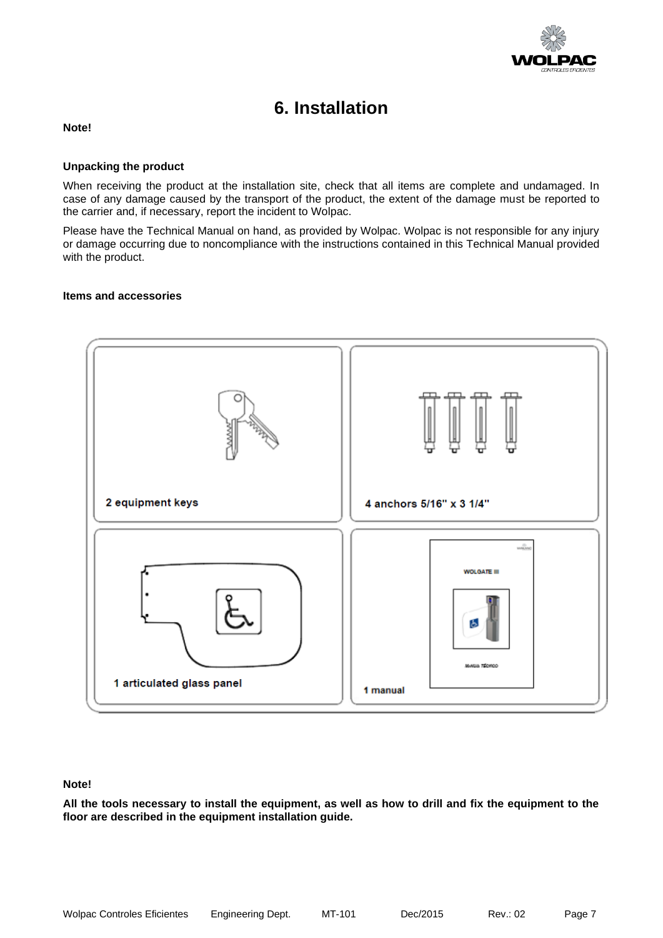

### **6. Installation**

#### <span id="page-7-0"></span>**Note!**

#### **Unpacking the product**

When receiving the product at the installation site, check that all items are complete and undamaged. In case of any damage caused by the transport of the product, the extent of the damage must be reported to the carrier and, if necessary, report the incident to Wolpac.

Please have the Technical Manual on hand, as provided by Wolpac. Wolpac is not responsible for any injury or damage occurring due to noncompliance with the instructions contained in this Technical Manual provided with the product.

#### **Items and accessories**



#### **Note!**

**All the tools necessary to install the equipment, as well as how to drill and fix the equipment to the floor are described in the equipment installation guide.**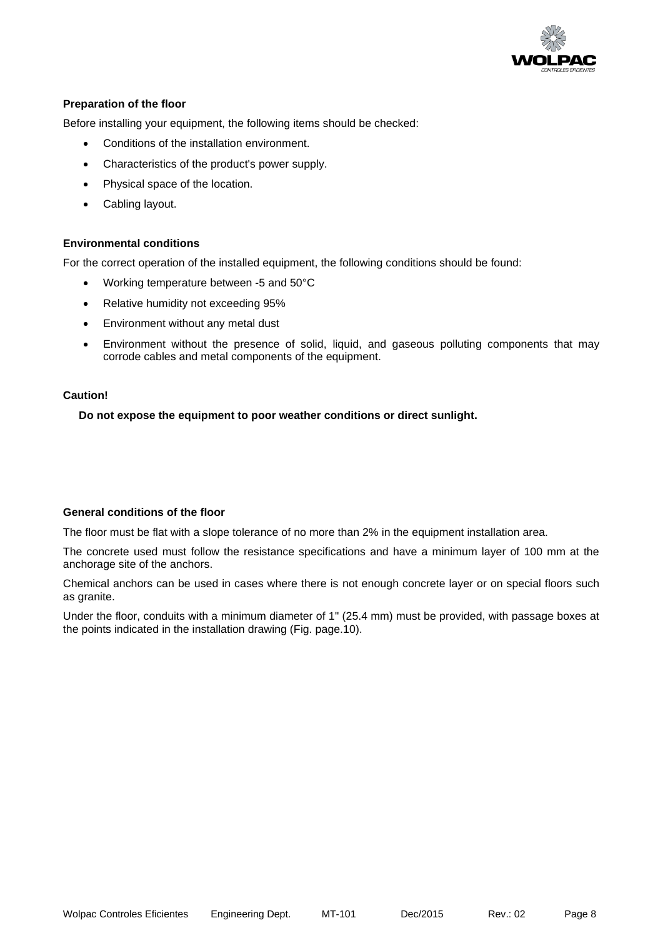

#### **Preparation of the floor**

Before installing your equipment, the following items should be checked:

- Conditions of the installation environment.
- Characteristics of the product's power supply.
- Physical space of the location.
- Cabling layout.

#### **Environmental conditions**

For the correct operation of the installed equipment, the following conditions should be found:

- Working temperature between -5 and 50°C
- Relative humidity not exceeding 95%
- Environment without any metal dust
- Environment without the presence of solid, liquid, and gaseous polluting components that may corrode cables and metal components of the equipment.

#### **Caution!**

**Do not expose the equipment to poor weather conditions or direct sunlight.** 

#### **General conditions of the floor**

The floor must be flat with a slope tolerance of no more than 2% in the equipment installation area.

The concrete used must follow the resistance specifications and have a minimum layer of 100 mm at the anchorage site of the anchors.

Chemical anchors can be used in cases where there is not enough concrete layer or on special floors such as granite.

Under the floor, conduits with a minimum diameter of 1" (25.4 mm) must be provided, with passage boxes at the points indicated in the installation drawing (Fig. page.10).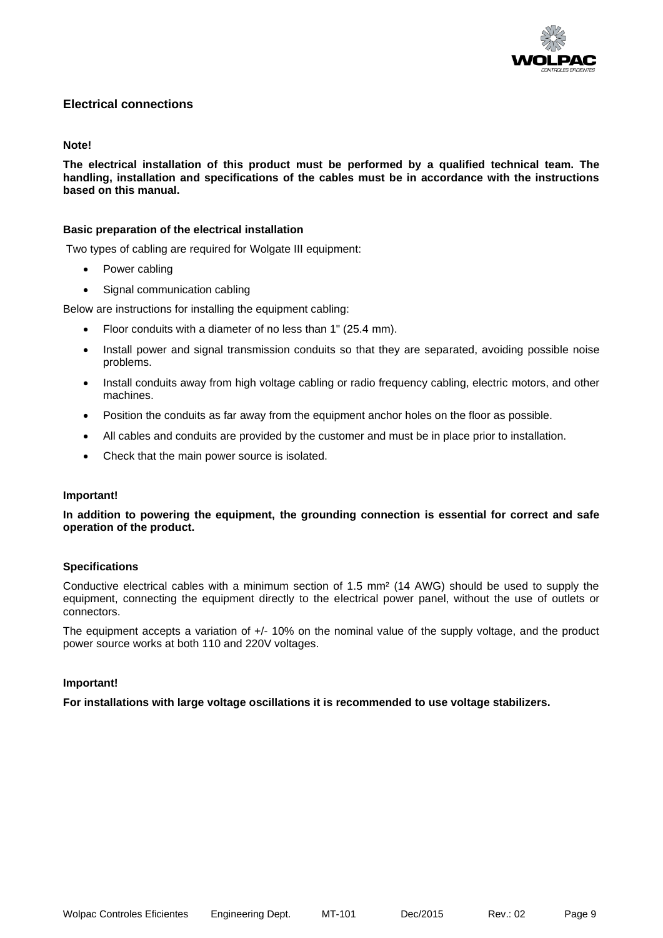

#### **Electrical connections**

#### **Note!**

**The electrical installation of this product must be performed by a qualified technical team. The handling, installation and specifications of the cables must be in accordance with the instructions based on this manual.**

#### **Basic preparation of the electrical installation**

Two types of cabling are required for Wolgate III equipment:

- Power cabling
- Signal communication cabling

Below are instructions for installing the equipment cabling:

- Floor conduits with a diameter of no less than 1" (25.4 mm).
- Install power and signal transmission conduits so that they are separated, avoiding possible noise problems.
- Install conduits away from high voltage cabling or radio frequency cabling, electric motors, and other machines.
- Position the conduits as far away from the equipment anchor holes on the floor as possible.
- All cables and conduits are provided by the customer and must be in place prior to installation.
- Check that the main power source is isolated.

#### **Important!**

**In addition to powering the equipment, the grounding connection is essential for correct and safe operation of the product.**

#### **Specifications**

Conductive electrical cables with a minimum section of 1.5 mm² (14 AWG) should be used to supply the equipment, connecting the equipment directly to the electrical power panel, without the use of outlets or connectors.

The equipment accepts a variation of +/- 10% on the nominal value of the supply voltage, and the product power source works at both 110 and 220V voltages.

#### **Important!**

**For installations with large voltage oscillations it is recommended to use voltage stabilizers.**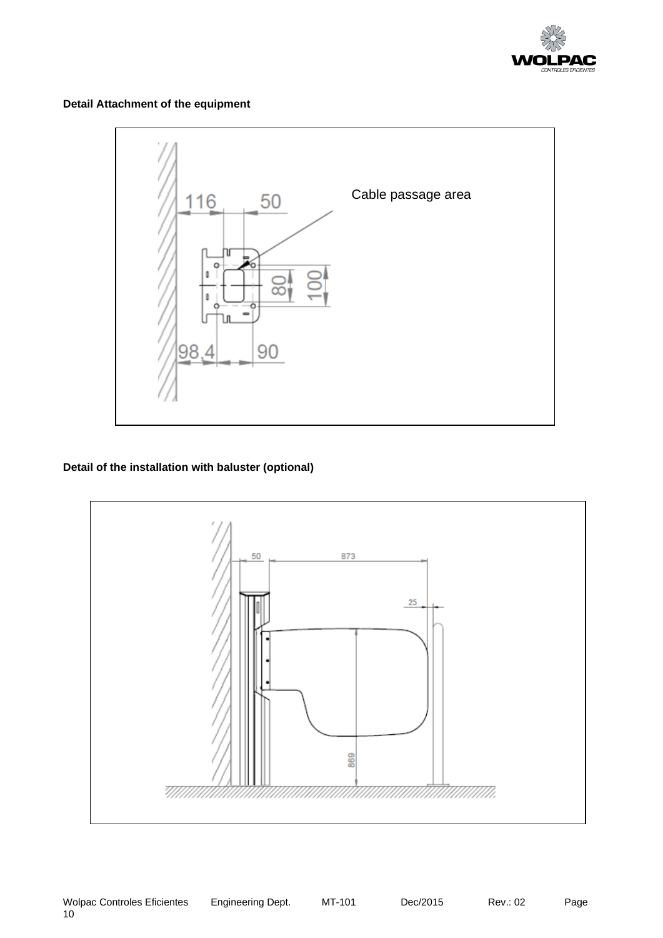

**Detail Attachment of the equipment** 



#### **Detail of the installation with baluster (optional)**

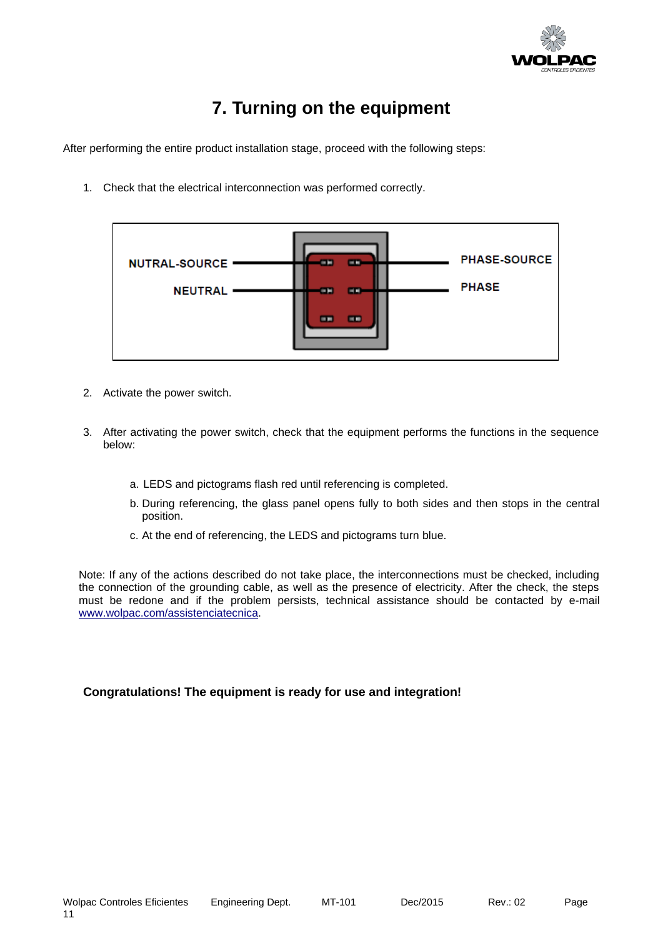

# **7. Turning on the equipment**

<span id="page-11-0"></span>After performing the entire product installation stage, proceed with the following steps:

1. Check that the electrical interconnection was performed correctly.

| <b>PHASE-SOURCE</b><br>NUTRAL-SOURCE ·<br>--<br><b>COLOR</b><br><b>PHASE</b><br><b>NEUTRAL</b><br>œ<br>œ<br>--<br>-- |  |  |
|----------------------------------------------------------------------------------------------------------------------|--|--|
|                                                                                                                      |  |  |
|                                                                                                                      |  |  |
|                                                                                                                      |  |  |
|                                                                                                                      |  |  |
|                                                                                                                      |  |  |

- 2. Activate the power switch.
- 3. After activating the power switch, check that the equipment performs the functions in the sequence below:
	- a. LEDS and pictograms flash red until referencing is completed.
	- b. During referencing, the glass panel opens fully to both sides and then stops in the central position.
	- c. At the end of referencing, the LEDS and pictograms turn blue.

Note: If any of the actions described do not take place, the interconnections must be checked, including the connection of the grounding cable, as well as the presence of electricity. After the check, the steps must be redone and if the problem persists, technical assistance should be contacted by e-mail [www.wolpac.com/assistenciatecnica.](http://www.wolpac.com/assistenciatecnica)

#### **Congratulations! The equipment is ready for use and integration!**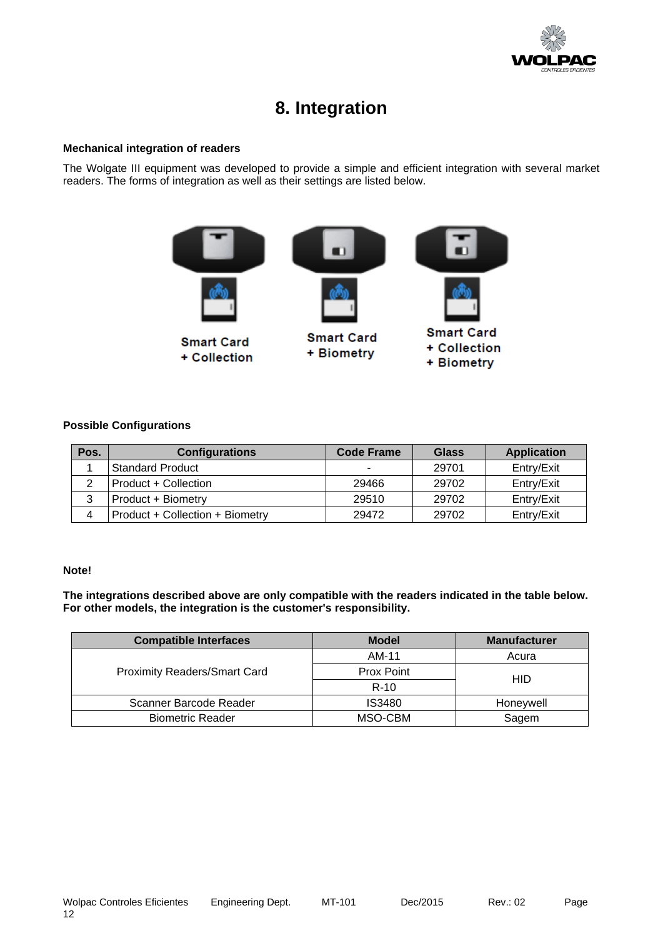

### **8. Integration**

#### <span id="page-12-0"></span>**Mechanical integration of readers**

The Wolgate III equipment was developed to provide a simple and efficient integration with several market readers. The forms of integration as well as their settings are listed below.



#### **Possible Configurations**

| Pos. | <b>Configurations</b>           | <b>Code Frame</b> | <b>Glass</b> | <b>Application</b> |
|------|---------------------------------|-------------------|--------------|--------------------|
|      | <b>Standard Product</b>         | -                 | 29701        | Entry/Exit         |
|      | Product + Collection            | 29466             | 29702        | Entry/Exit         |
|      | Product + Biometry              | 29510             | 29702        | Entry/Exit         |
|      | Product + Collection + Biometry | 29472             | 29702        | Entry/Exit         |

#### **Note!**

**The integrations described above are only compatible with the readers indicated in the table below. For other models, the integration is the customer's responsibility.**

| <b>Compatible Interfaces</b>        | <b>Model</b> | <b>Manufacturer</b> |  |
|-------------------------------------|--------------|---------------------|--|
|                                     | AM-11        | Acura               |  |
| <b>Proximity Readers/Smart Card</b> | Prox Point   | <b>HID</b>          |  |
|                                     | $R-10$       |                     |  |
| Scanner Barcode Reader              | IS3480       | Honeywell           |  |
| <b>Biometric Reader</b>             | MSO-CBM      | Sagem               |  |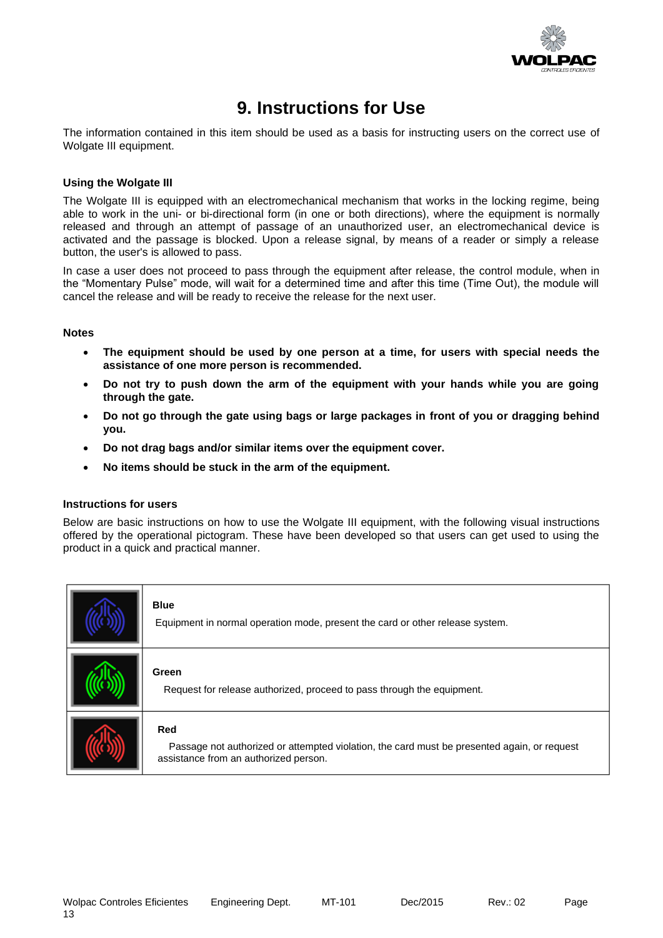

### **9. Instructions for Use**

<span id="page-13-0"></span>The information contained in this item should be used as a basis for instructing users on the correct use of Wolgate III equipment.

#### **Using the Wolgate III**

The Wolgate III is equipped with an electromechanical mechanism that works in the locking regime, being able to work in the uni- or bi-directional form (in one or both directions), where the equipment is normally released and through an attempt of passage of an unauthorized user, an electromechanical device is activated and the passage is blocked. Upon a release signal, by means of a reader or simply a release button, the user's is allowed to pass.

In case a user does not proceed to pass through the equipment after release, the control module, when in the "Momentary Pulse" mode, will wait for a determined time and after this time (Time Out), the module will cancel the release and will be ready to receive the release for the next user.

#### **Notes**

- **The equipment should be used by one person at a time, for users with special needs the assistance of one more person is recommended.**
- **Do not try to push down the arm of the equipment with your hands while you are going through the gate.**
- **Do not go through the gate using bags or large packages in front of you or dragging behind you.**
- **Do not drag bags and/or similar items over the equipment cover.**
- **No items should be stuck in the arm of the equipment.**

#### **Instructions for users**

Below are basic instructions on how to use the Wolgate III equipment, with the following visual instructions offered by the operational pictogram. These have been developed so that users can get used to using the product in a quick and practical manner.

| <b>Blue</b><br>Equipment in normal operation mode, present the card or other release system.                                                |
|---------------------------------------------------------------------------------------------------------------------------------------------|
| Green<br>Request for release authorized, proceed to pass through the equipment.                                                             |
| Red<br>Passage not authorized or attempted violation, the card must be presented again, or request<br>assistance from an authorized person. |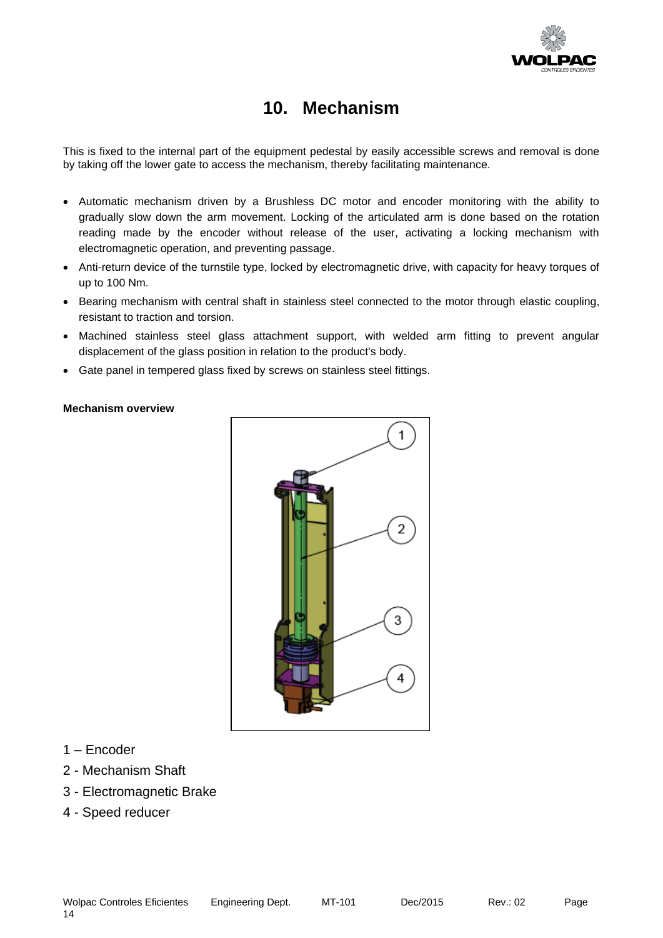

### **10. Mechanism**

<span id="page-14-0"></span>This is fixed to the internal part of the equipment pedestal by easily accessible screws and removal is done by taking off the lower gate to access the mechanism, thereby facilitating maintenance.

- Automatic mechanism driven by a Brushless DC motor and encoder monitoring with the ability to gradually slow down the arm movement. Locking of the articulated arm is done based on the rotation reading made by the encoder without release of the user, activating a locking mechanism with electromagnetic operation, and preventing passage.
- Anti-return device of the turnstile type, locked by electromagnetic drive, with capacity for heavy torques of up to 100 Nm.
- Bearing mechanism with central shaft in stainless steel connected to the motor through elastic coupling, resistant to traction and torsion.
- Machined stainless steel glass attachment support, with welded arm fitting to prevent angular displacement of the glass position in relation to the product's body.
- Gate panel in tempered glass fixed by screws on stainless steel fittings.

#### **Mechanism overview**



- 1 Encoder
- 2 Mechanism Shaft
- 3 Electromagnetic Brake
- 4 Speed reducer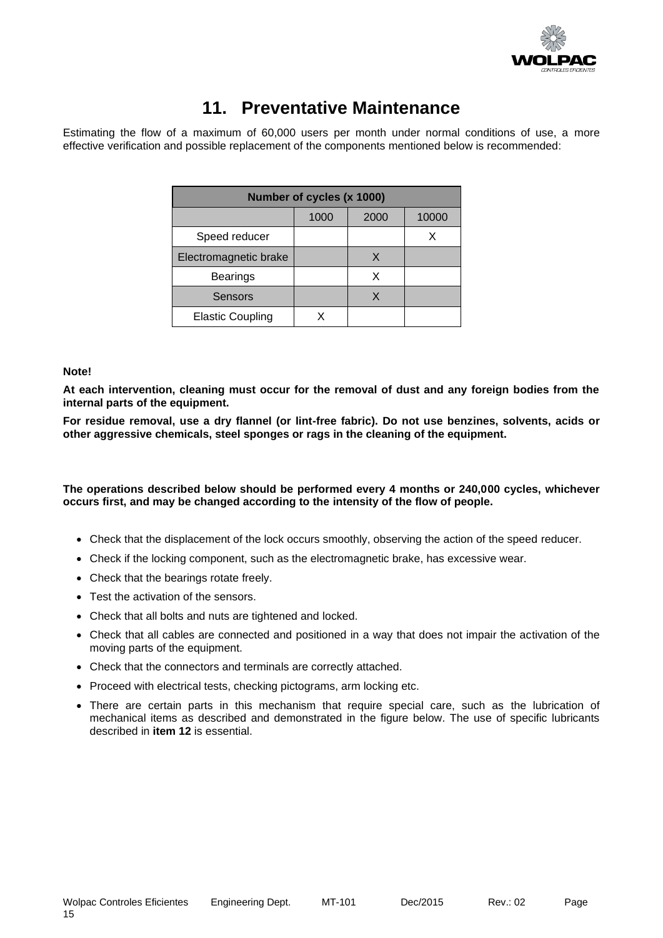

### **11. Preventative Maintenance**

<span id="page-15-0"></span>Estimating the flow of a maximum of 60,000 users per month under normal conditions of use, a more effective verification and possible replacement of the components mentioned below is recommended:

| Number of cycles (x 1000) |      |      |       |  |
|---------------------------|------|------|-------|--|
|                           | 1000 | 2000 | 10000 |  |
| Speed reducer             |      |      |       |  |
| Electromagnetic brake     |      | X    |       |  |
| <b>Bearings</b>           |      | х    |       |  |
| <b>Sensors</b>            |      | X    |       |  |
| <b>Elastic Coupling</b>   |      |      |       |  |

#### **Note!**

**At each intervention, cleaning must occur for the removal of dust and any foreign bodies from the internal parts of the equipment.**

**For residue removal, use a dry flannel (or lint-free fabric). Do not use benzines, solvents, acids or other aggressive chemicals, steel sponges or rags in the cleaning of the equipment.**

#### **The operations described below should be performed every 4 months or 240,000 cycles, whichever occurs first, and may be changed according to the intensity of the flow of people.**

- Check that the displacement of the lock occurs smoothly, observing the action of the speed reducer.
- Check if the locking component, such as the electromagnetic brake, has excessive wear.
- Check that the bearings rotate freely.
- Test the activation of the sensors.
- Check that all bolts and nuts are tightened and locked.
- Check that all cables are connected and positioned in a way that does not impair the activation of the moving parts of the equipment.
- Check that the connectors and terminals are correctly attached.
- Proceed with electrical tests, checking pictograms, arm locking etc.
- There are certain parts in this mechanism that require special care, such as the lubrication of mechanical items as described and demonstrated in the figure below. The use of specific lubricants described in **item 12** is essential.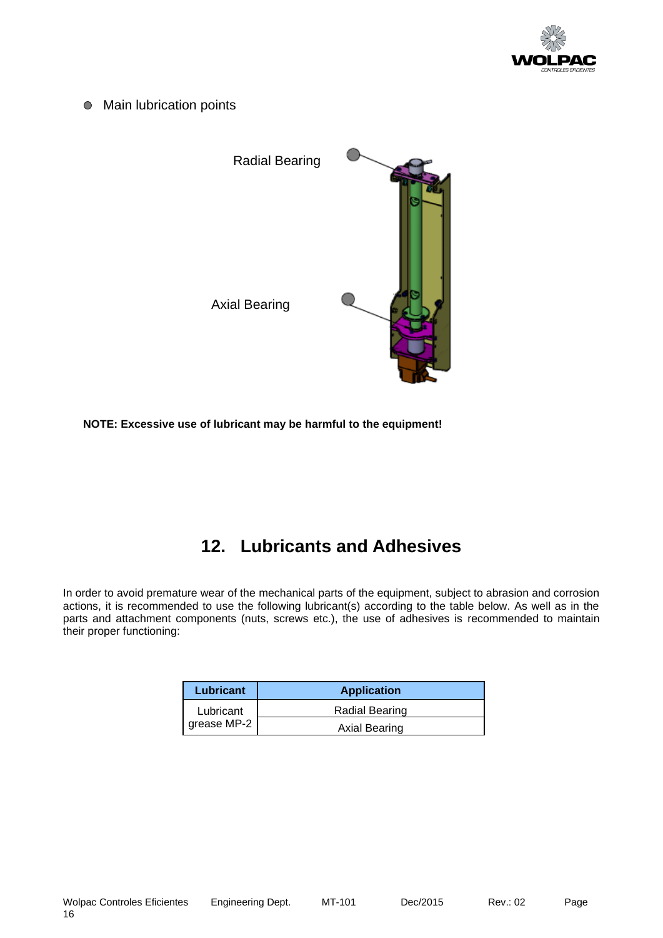

● Main lubrication points



**NOTE: Excessive use of lubricant may be harmful to the equipment!**

# **12. Lubricants and Adhesives**

<span id="page-16-0"></span>In order to avoid premature wear of the mechanical parts of the equipment, subject to abrasion and corrosion actions, it is recommended to use the following lubricant(s) according to the table below. As well as in the parts and attachment components (nuts, screws etc.), the use of adhesives is recommended to maintain their proper functioning:

| Lubricant                | <b>Application</b>   |
|--------------------------|----------------------|
| Lubricant<br>grease MP-2 | Radial Bearing       |
|                          | <b>Axial Bearing</b> |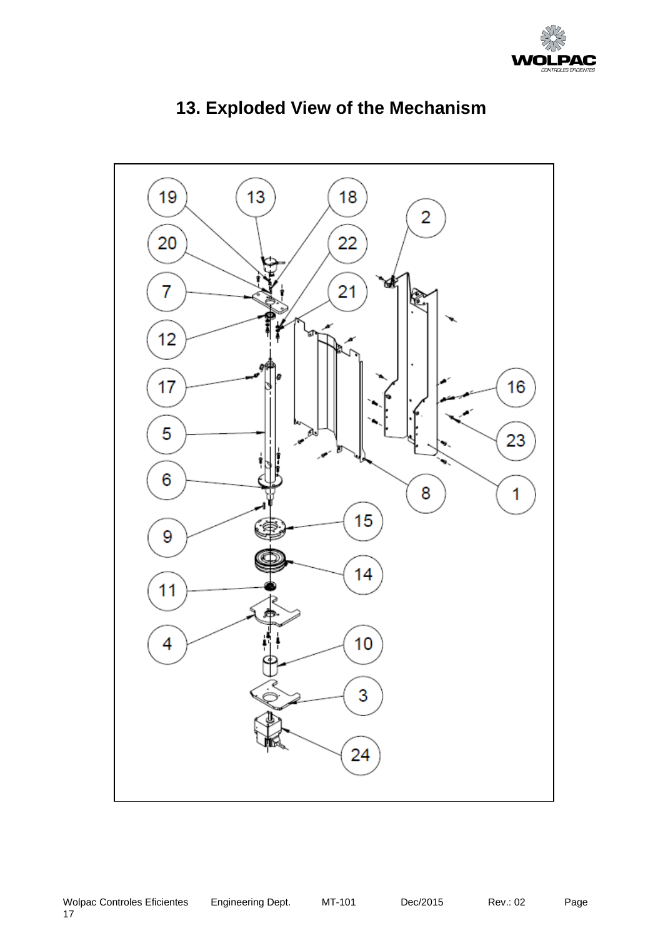

<span id="page-17-0"></span>

# **13. Exploded View of the Mechanism**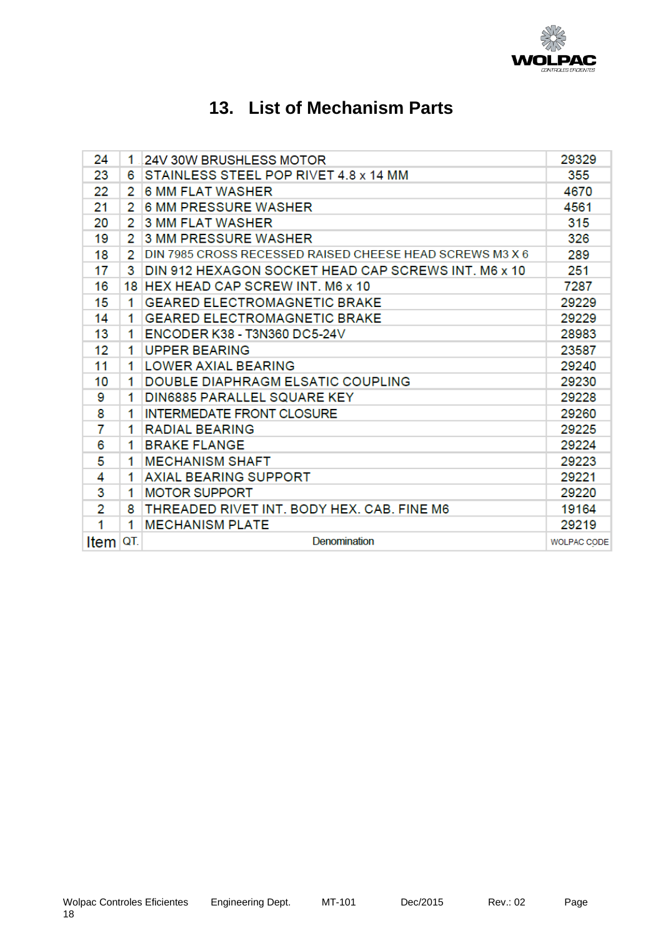

# **13. List of Mechanism Parts**

<span id="page-18-0"></span>

| 24   | 1   | <b>24V 30W BRUSHLESS MOTOR</b>                           | 29329       |
|------|-----|----------------------------------------------------------|-------------|
| 23   | 6   | STAINLESS STEEL POP RIVET 4.8 x 14 MM                    | 355         |
| 22   | 2   | <b>6 MM FLAT WASHER</b>                                  | 4670        |
| 21   | 2   | <b>6 MM PRESSURE WASHER</b>                              | 4561        |
| 20   | 2   | <b>3 MM FLAT WASHER</b>                                  | 315         |
| 19   | 2   | <b>3 MM PRESSURE WASHER</b>                              | 326         |
| 18   | 2   | DIN 7985 CROSS RECESSED RAISED CHEESE HEAD SCREWS M3 X 6 | 289         |
| 17   | 3   | DIN 912 HEXAGON SOCKET HEAD CAP SCREWS INT. M6 x 10      | 251         |
| 16   |     | 18 HEX HEAD CAP SCREW INT. M6 x 10                       | 7287        |
| 15   | 1   | <b>GEARED ELECTROMAGNETIC BRAKE</b>                      | 29229       |
| 14   | 1   | <b>GEARED ELECTROMAGNETIC BRAKE</b>                      | 29229       |
| 13   | 1   | ENCODER K38 - T3N360 DC5-24V                             | 28983       |
| 12   | 1   | <b>UPPER BEARING</b>                                     | 23587       |
| 11   | 1   | <b>LOWER AXIAL BEARING</b>                               | 29240       |
| 10   | 1   | <b>DOUBLE DIAPHRAGM ELSATIC COUPLING</b>                 | 29230       |
| 9    | 1   | DIN6885 PARALLEL SQUARE KEY                              | 29228       |
| 8    | 1   | <b>INTERMEDATE FRONT CLOSURE</b>                         | 29260       |
| 7    | 1   | <b>RADIAL BEARING</b>                                    | 29225       |
| 6    | 1   | <b>BRAKE FLANGE</b>                                      | 29224       |
| 5    | 1   | <b>MECHANISM SHAFT</b>                                   | 29223       |
| 4    | 1   | <b>AXIAL BEARING SUPPORT</b>                             | 29221       |
| 3    | 1   | <b>MOTOR SUPPORT</b>                                     | 29220       |
| 2    | 8   | THREADED RIVET INT. BODY HEX. CAB. FINE M6               | 19164       |
| 1    | 1   | <b>MECHANISM PLATE</b>                                   | 29219       |
| Item | QT. | Denomination                                             | WOLPAC CODE |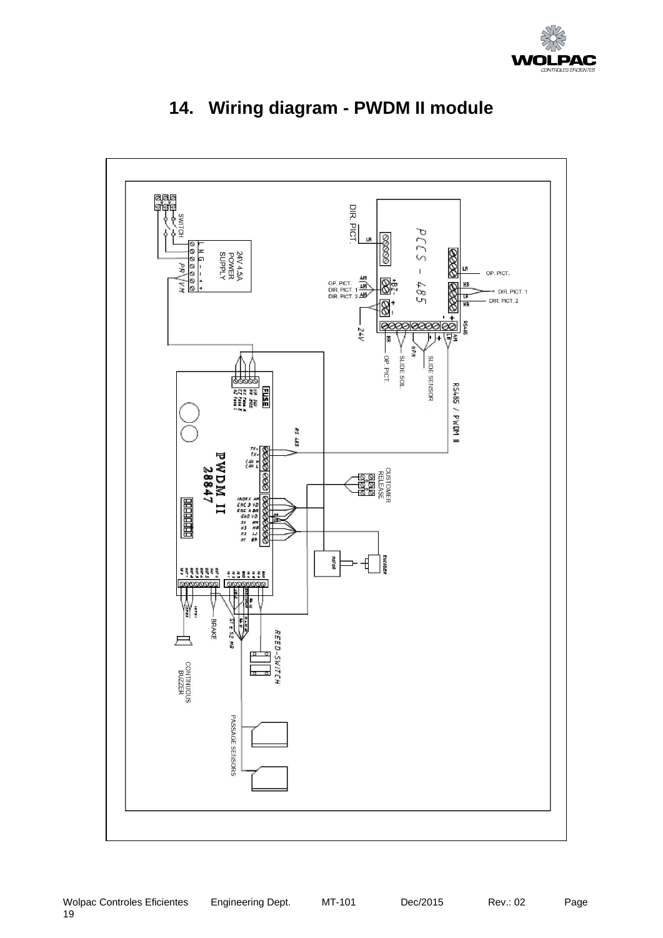

<span id="page-19-0"></span>

# **14. Wiring diagram - PWDM II module**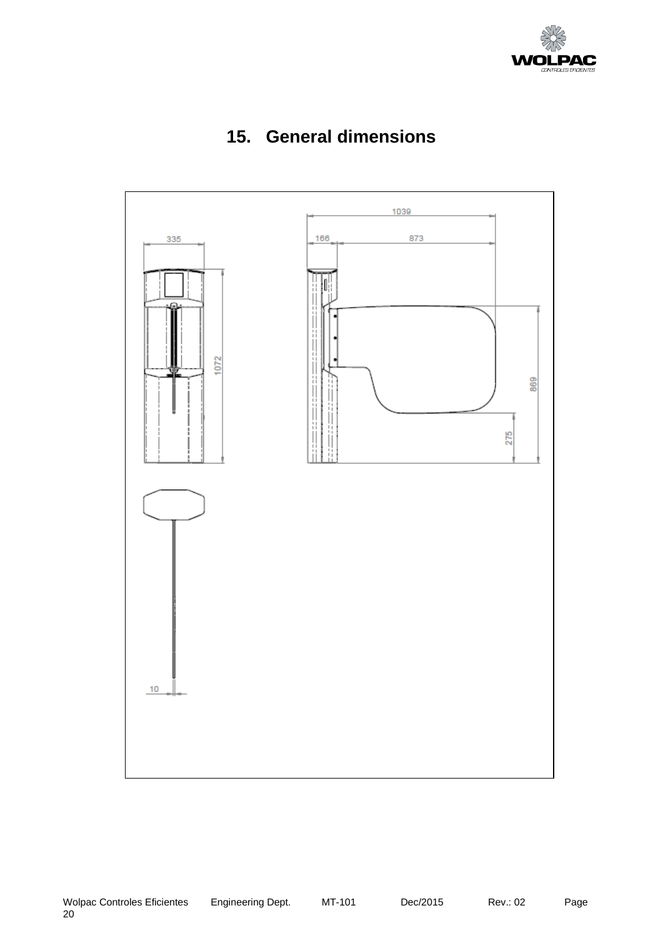



<span id="page-20-0"></span>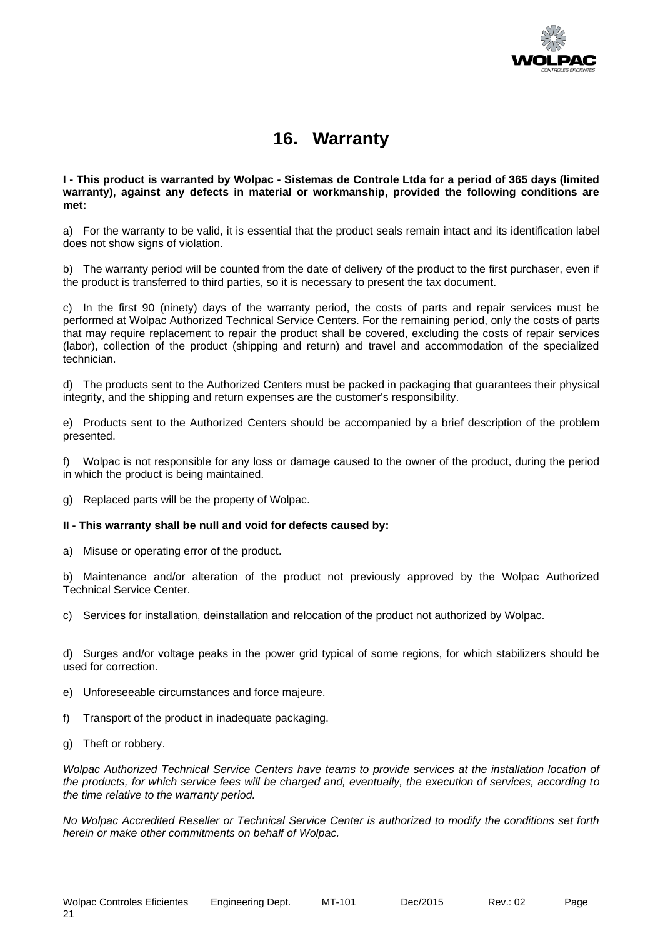

### **16. Warranty**

<span id="page-21-0"></span>**I - This product is warranted by Wolpac - Sistemas de Controle Ltda for a period of 365 days (limited warranty), against any defects in material or workmanship, provided the following conditions are met:**

a) For the warranty to be valid, it is essential that the product seals remain intact and its identification label does not show signs of violation.

b) The warranty period will be counted from the date of delivery of the product to the first purchaser, even if the product is transferred to third parties, so it is necessary to present the tax document.

c) In the first 90 (ninety) days of the warranty period, the costs of parts and repair services must be performed at Wolpac Authorized Technical Service Centers. For the remaining period, only the costs of parts that may require replacement to repair the product shall be covered, excluding the costs of repair services (labor), collection of the product (shipping and return) and travel and accommodation of the specialized technician.

d) The products sent to the Authorized Centers must be packed in packaging that guarantees their physical integrity, and the shipping and return expenses are the customer's responsibility.

e) Products sent to the Authorized Centers should be accompanied by a brief description of the problem presented.

f) Wolpac is not responsible for any loss or damage caused to the owner of the product, during the period in which the product is being maintained.

g) Replaced parts will be the property of Wolpac.

#### **II - This warranty shall be null and void for defects caused by:**

a) Misuse or operating error of the product.

b) Maintenance and/or alteration of the product not previously approved by the Wolpac Authorized Technical Service Center.

c) Services for installation, deinstallation and relocation of the product not authorized by Wolpac.

d) Surges and/or voltage peaks in the power grid typical of some regions, for which stabilizers should be used for correction.

- e) Unforeseeable circumstances and force majeure.
- f) Transport of the product in inadequate packaging.
- g) Theft or robbery.

*Wolpac Authorized Technical Service Centers have teams to provide services at the installation location of the products, for which service fees will be charged and, eventually, the execution of services, according to the time relative to the warranty period.*

*No Wolpac Accredited Reseller or Technical Service Center is authorized to modify the conditions set forth herein or make other commitments on behalf of Wolpac.*